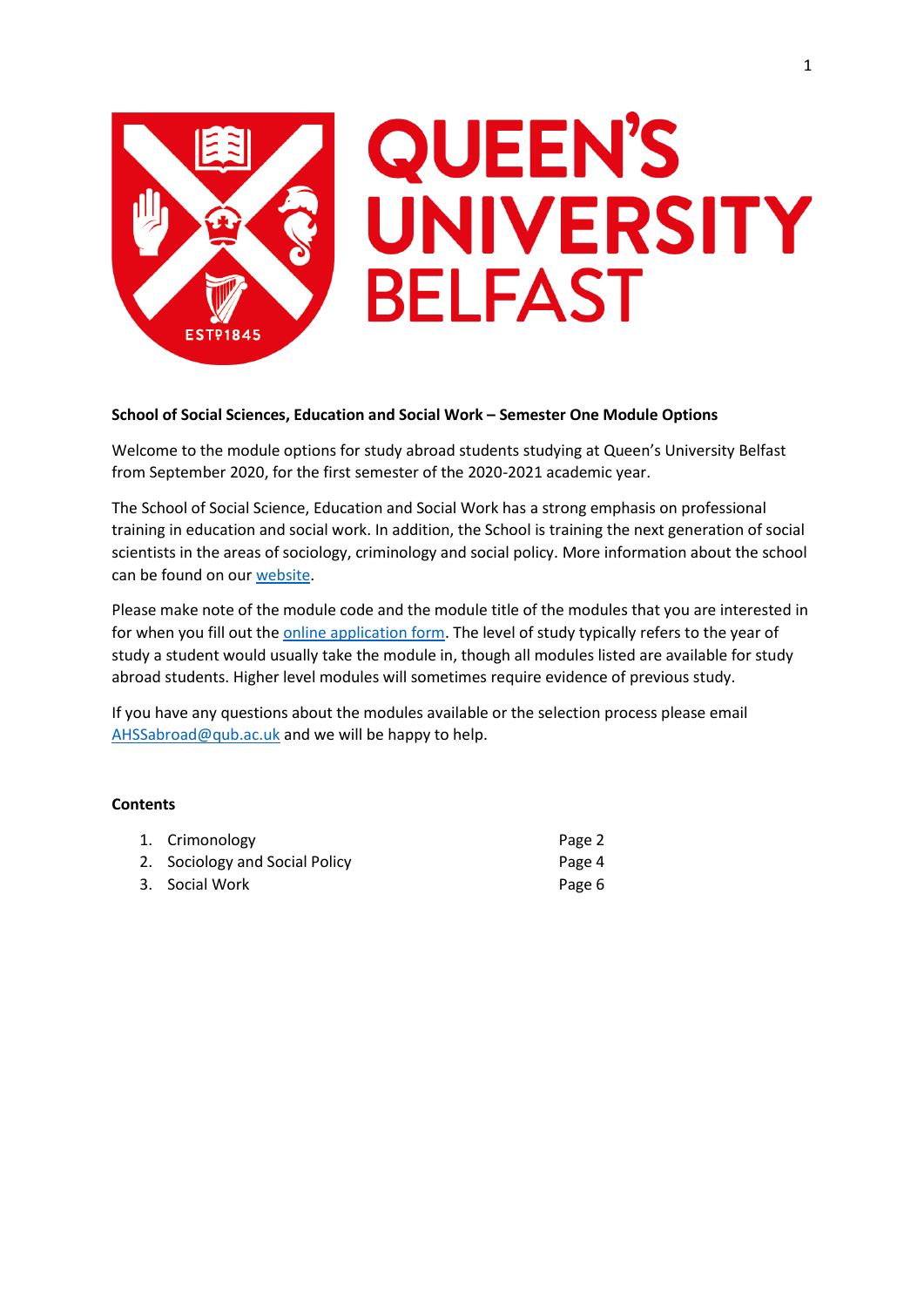

# **School of Social Sciences, Education and Social Work – Semester One Module Options**

Welcome to the module options for study abroad students studying at Queen's University Belfast from September 2020, for the first semester of the 2020-2021 academic year.

The School of Social Science, Education and Social Work has a strong emphasis on professional training in education and social work. In addition, the School is training the next generation of social scientists in the areas of sociology, criminology and social policy. More information about the school can be found on our [website.](https://www.qub.ac.uk/schools/ssesw/)

Please make note of the module code and the module title of the modules that you are interested in for when you fill out the **online application form**. The level of study typically refers to the year of study a student would usually take the module in, though all modules listed are available for study abroad students. Higher level modules will sometimes require evidence of previous study.

If you have any questions about the modules available or the selection process please email [AHSSabroad@qub.ac.uk](mailto:AHSSabroad@qub.ac.uk) and we will be happy to help.

### **Contents**

| 1. Crimonology                 | Page 2 |
|--------------------------------|--------|
| 2. Sociology and Social Policy | Page 4 |
| 3. Social Work                 | Page 6 |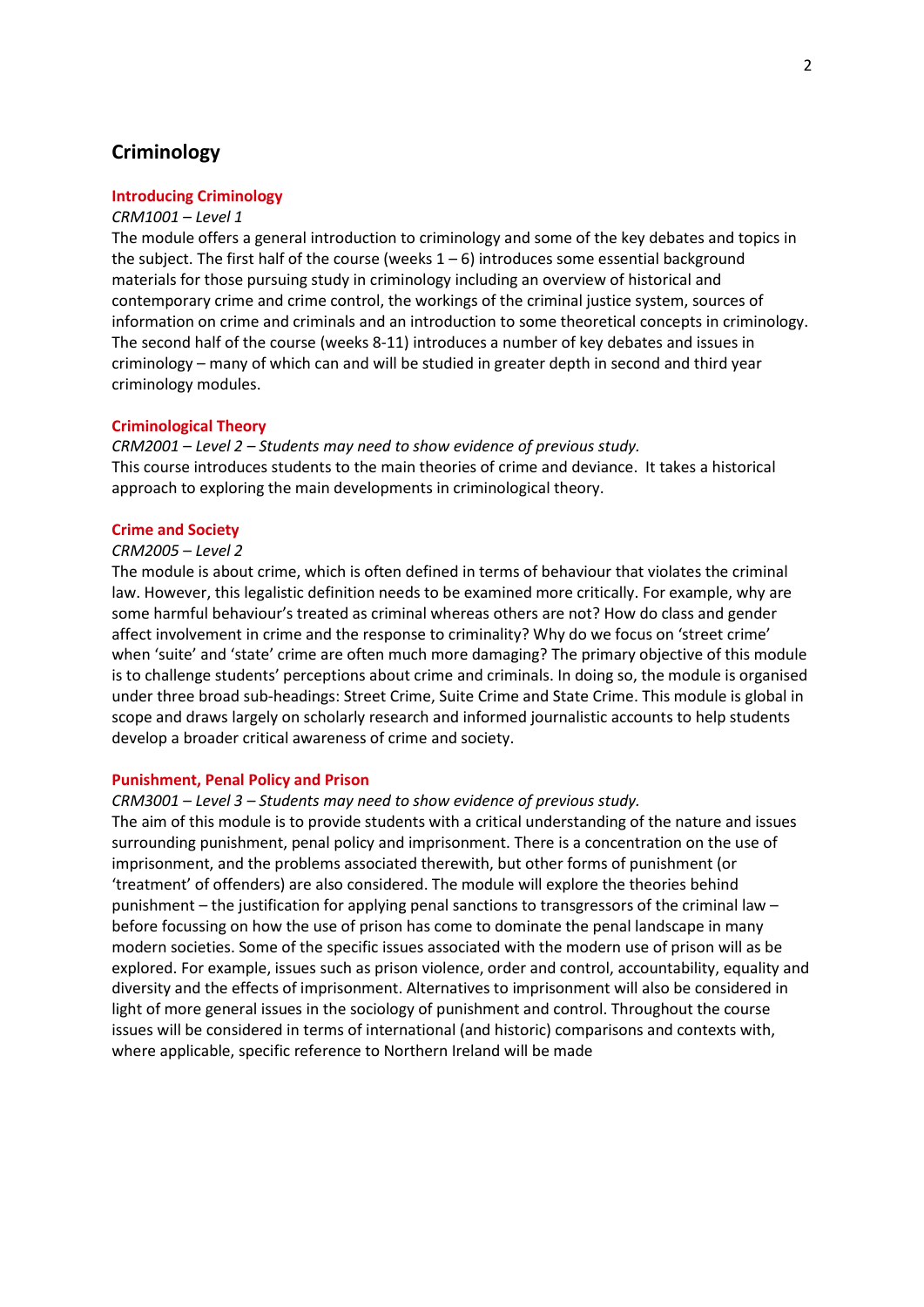# **Criminology**

### **Introducing Criminology**

### *CRM1001 – Level 1*

The module offers a general introduction to criminology and some of the key debates and topics in the subject. The first half of the course (weeks  $1 - 6$ ) introduces some essential background materials for those pursuing study in criminology including an overview of historical and contemporary crime and crime control, the workings of the criminal justice system, sources of information on crime and criminals and an introduction to some theoretical concepts in criminology. The second half of the course (weeks 8-11) introduces a number of key debates and issues in criminology – many of which can and will be studied in greater depth in second and third year criminology modules.

#### **Criminological Theory**

*CRM2001 – Level 2 – Students may need to show evidence of previous study.* This course introduces students to the main theories of crime and deviance. It takes a historical approach to exploring the main developments in criminological theory.

#### **Crime and Society**

### *CRM2005 – Level 2*

The module is about crime, which is often defined in terms of behaviour that violates the criminal law. However, this legalistic definition needs to be examined more critically. For example, why are some harmful behaviour's treated as criminal whereas others are not? How do class and gender affect involvement in crime and the response to criminality? Why do we focus on 'street crime' when 'suite' and 'state' crime are often much more damaging? The primary objective of this module is to challenge students' perceptions about crime and criminals. In doing so, the module is organised under three broad sub-headings: Street Crime, Suite Crime and State Crime. This module is global in scope and draws largely on scholarly research and informed journalistic accounts to help students develop a broader critical awareness of crime and society.

### **Punishment, Penal Policy and Prison**

*CRM3001 – Level 3 – Students may need to show evidence of previous study.*

The aim of this module is to provide students with a critical understanding of the nature and issues surrounding punishment, penal policy and imprisonment. There is a concentration on the use of imprisonment, and the problems associated therewith, but other forms of punishment (or 'treatment' of offenders) are also considered. The module will explore the theories behind punishment – the justification for applying penal sanctions to transgressors of the criminal law – before focussing on how the use of prison has come to dominate the penal landscape in many modern societies. Some of the specific issues associated with the modern use of prison will as be explored. For example, issues such as prison violence, order and control, accountability, equality and diversity and the effects of imprisonment. Alternatives to imprisonment will also be considered in light of more general issues in the sociology of punishment and control. Throughout the course issues will be considered in terms of international (and historic) comparisons and contexts with, where applicable, specific reference to Northern Ireland will be made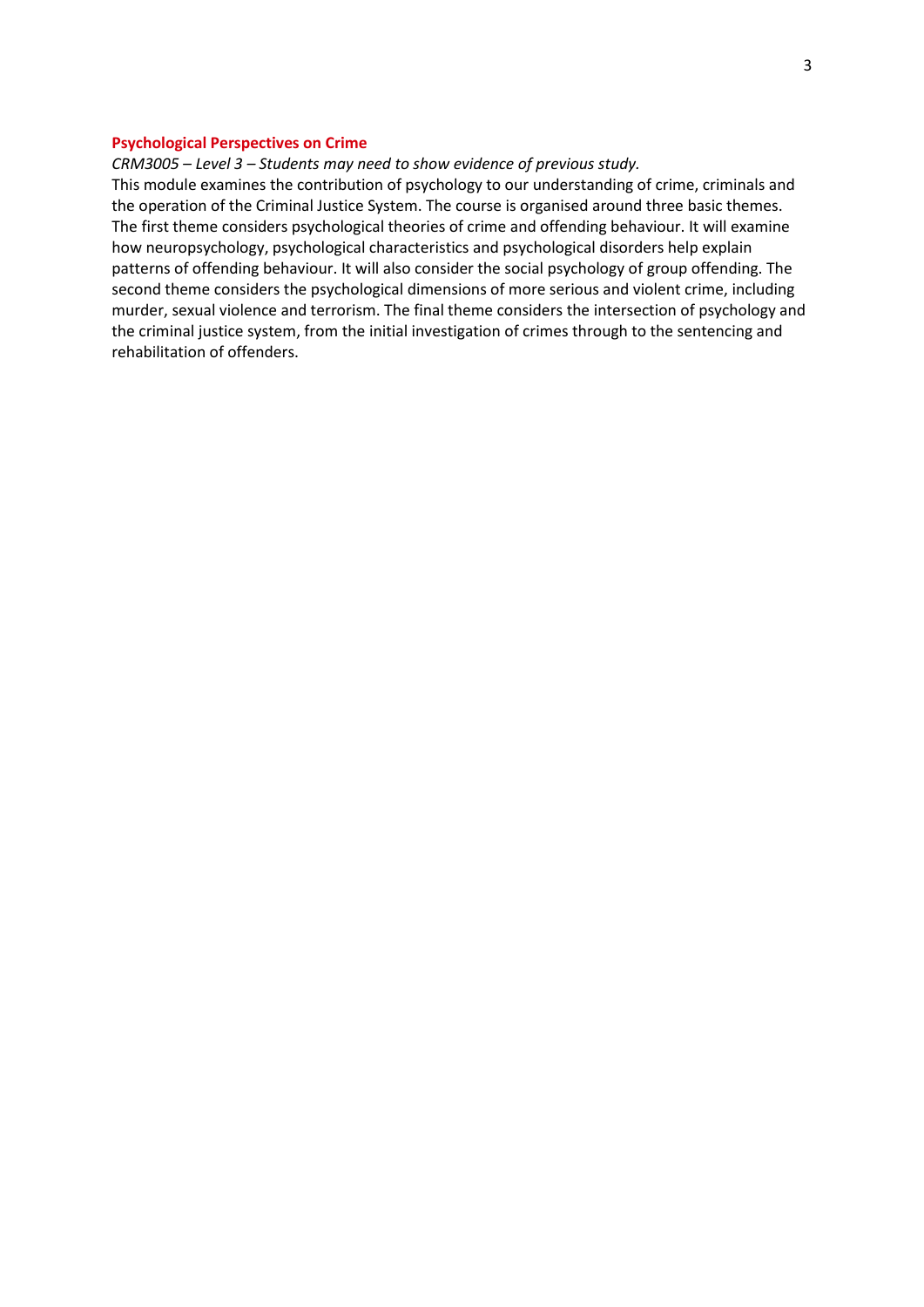### **Psychological Perspectives on Crime**

*CRM3005 – Level 3 – Students may need to show evidence of previous study.*

This module examines the contribution of psychology to our understanding of crime, criminals and the operation of the Criminal Justice System. The course is organised around three basic themes. The first theme considers psychological theories of crime and offending behaviour. It will examine how neuropsychology, psychological characteristics and psychological disorders help explain patterns of offending behaviour. It will also consider the social psychology of group offending. The second theme considers the psychological dimensions of more serious and violent crime, including murder, sexual violence and terrorism. The final theme considers the intersection of psychology and the criminal justice system, from the initial investigation of crimes through to the sentencing and rehabilitation of offenders.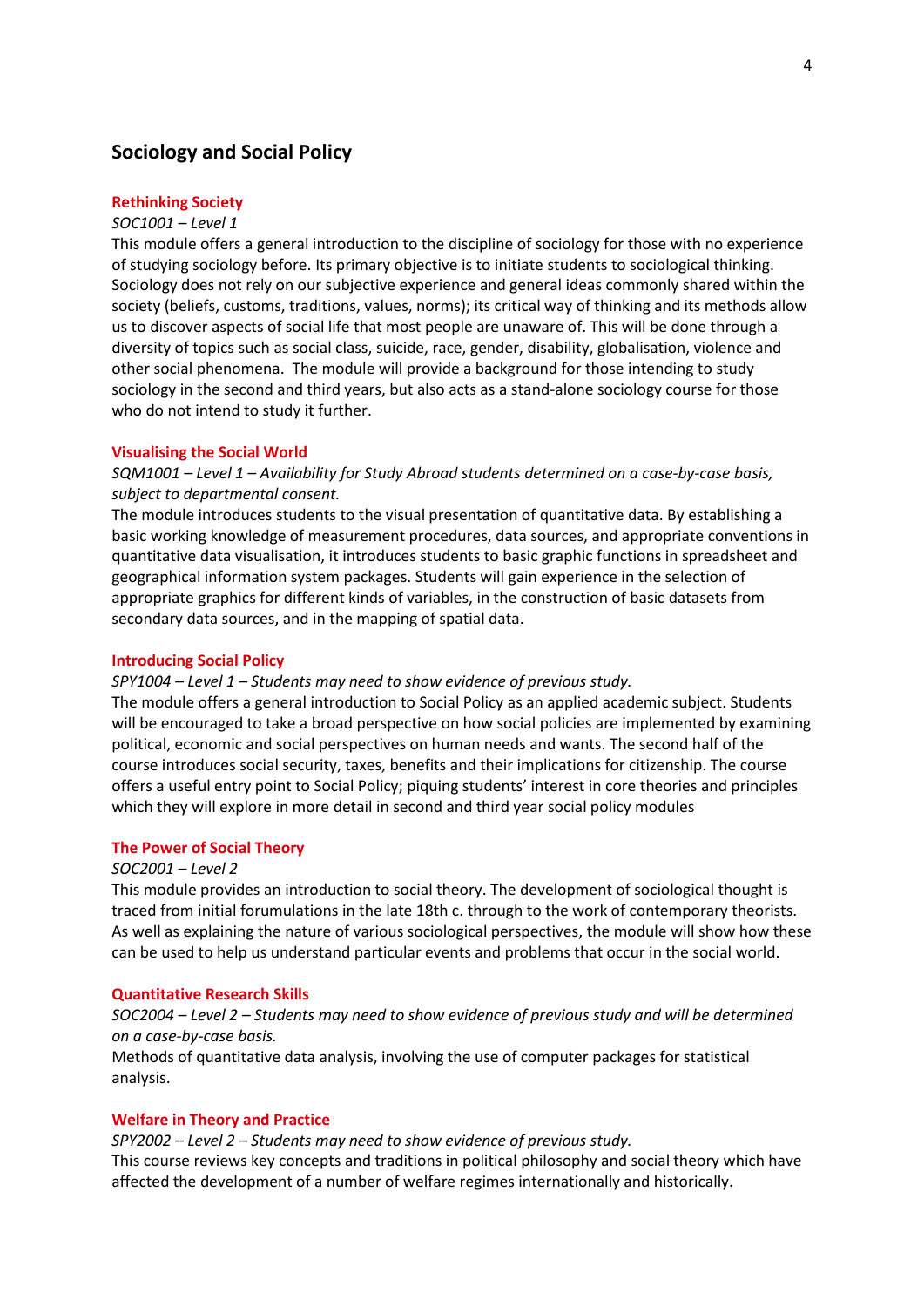# **Sociology and Social Policy**

### **Rethinking Society**

#### *SOC1001 – Level 1*

This module offers a general introduction to the discipline of sociology for those with no experience of studying sociology before. Its primary objective is to initiate students to sociological thinking. Sociology does not rely on our subjective experience and general ideas commonly shared within the society (beliefs, customs, traditions, values, norms); its critical way of thinking and its methods allow us to discover aspects of social life that most people are unaware of. This will be done through a diversity of topics such as social class, suicide, race, gender, disability, globalisation, violence and other social phenomena. The module will provide a background for those intending to study sociology in the second and third years, but also acts as a stand-alone sociology course for those who do not intend to study it further.

#### **Visualising the Social World**

*SQM1001 – Level 1 – Availability for Study Abroad students determined on a case-by-case basis, subject to departmental consent.*

The module introduces students to the visual presentation of quantitative data. By establishing a basic working knowledge of measurement procedures, data sources, and appropriate conventions in quantitative data visualisation, it introduces students to basic graphic functions in spreadsheet and geographical information system packages. Students will gain experience in the selection of appropriate graphics for different kinds of variables, in the construction of basic datasets from secondary data sources, and in the mapping of spatial data.

#### **Introducing Social Policy**

*SPY1004 – Level 1 – Students may need to show evidence of previous study.*

The module offers a general introduction to Social Policy as an applied academic subject. Students will be encouraged to take a broad perspective on how social policies are implemented by examining political, economic and social perspectives on human needs and wants. The second half of the course introduces social security, taxes, benefits and their implications for citizenship. The course offers a useful entry point to Social Policy; piquing students' interest in core theories and principles which they will explore in more detail in second and third year social policy modules

#### **The Power of Social Theory**

### *SOC2001 – Level 2*

This module provides an introduction to social theory. The development of sociological thought is traced from initial forumulations in the late 18th c. through to the work of contemporary theorists. As well as explaining the nature of various sociological perspectives, the module will show how these can be used to help us understand particular events and problems that occur in the social world.

#### **Quantitative Research Skills**

*SOC2004 – Level 2 – Students may need to show evidence of previous study and will be determined on a case-by-case basis.*

Methods of quantitative data analysis, involving the use of computer packages for statistical analysis.

#### **Welfare in Theory and Practice**

*SPY2002 – Level 2 – Students may need to show evidence of previous study.* This course reviews key concepts and traditions in political philosophy and social theory which have affected the development of a number of welfare regimes internationally and historically.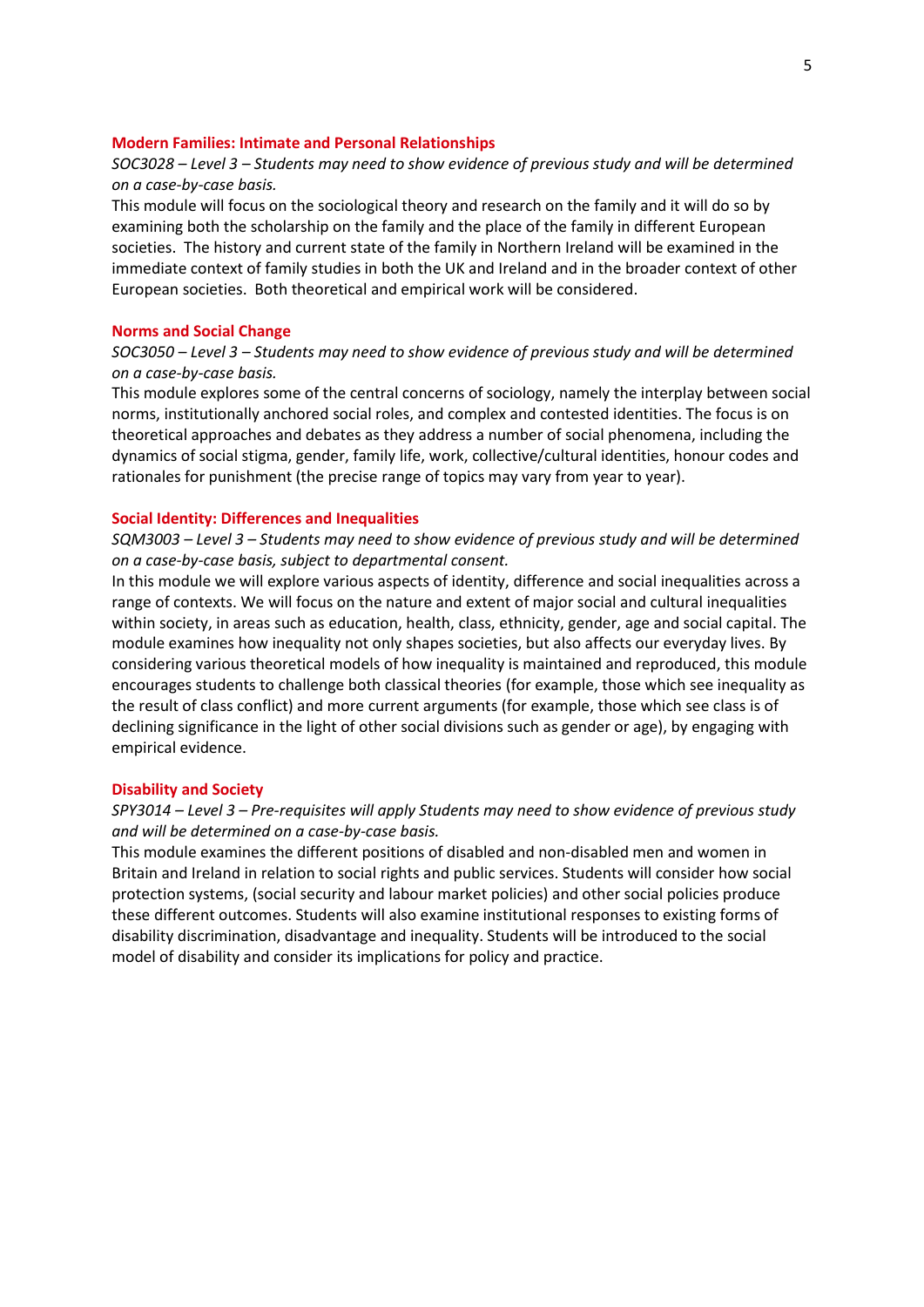### **Modern Families: Intimate and Personal Relationships**

### *SOC3028 – Level 3 – Students may need to show evidence of previous study and will be determined on a case-by-case basis.*

This module will focus on the sociological theory and research on the family and it will do so by examining both the scholarship on the family and the place of the family in different European societies. The history and current state of the family in Northern Ireland will be examined in the immediate context of family studies in both the UK and Ireland and in the broader context of other European societies. Both theoretical and empirical work will be considered.

#### **Norms and Social Change**

# *SOC3050 – Level 3 – Students may need to show evidence of previous study and will be determined on a case-by-case basis.*

This module explores some of the central concerns of sociology, namely the interplay between social norms, institutionally anchored social roles, and complex and contested identities. The focus is on theoretical approaches and debates as they address a number of social phenomena, including the dynamics of social stigma, gender, family life, work, collective/cultural identities, honour codes and rationales for punishment (the precise range of topics may vary from year to year).

### **Social Identity: Differences and Inequalities**

# *SQM3003 – Level 3 – Students may need to show evidence of previous study and will be determined on a case-by-case basis, subject to departmental consent.*

In this module we will explore various aspects of identity, difference and social inequalities across a range of contexts. We will focus on the nature and extent of major social and cultural inequalities within society, in areas such as education, health, class, ethnicity, gender, age and social capital. The module examines how inequality not only shapes societies, but also affects our everyday lives. By considering various theoretical models of how inequality is maintained and reproduced, this module encourages students to challenge both classical theories (for example, those which see inequality as the result of class conflict) and more current arguments (for example, those which see class is of declining significance in the light of other social divisions such as gender or age), by engaging with empirical evidence.

#### **Disability and Society**

## *SPY3014 – Level 3 – Pre-requisites will apply Students may need to show evidence of previous study and will be determined on a case-by-case basis.*

This module examines the different positions of disabled and non-disabled men and women in Britain and Ireland in relation to social rights and public services. Students will consider how social protection systems, (social security and labour market policies) and other social policies produce these different outcomes. Students will also examine institutional responses to existing forms of disability discrimination, disadvantage and inequality. Students will be introduced to the social model of disability and consider its implications for policy and practice.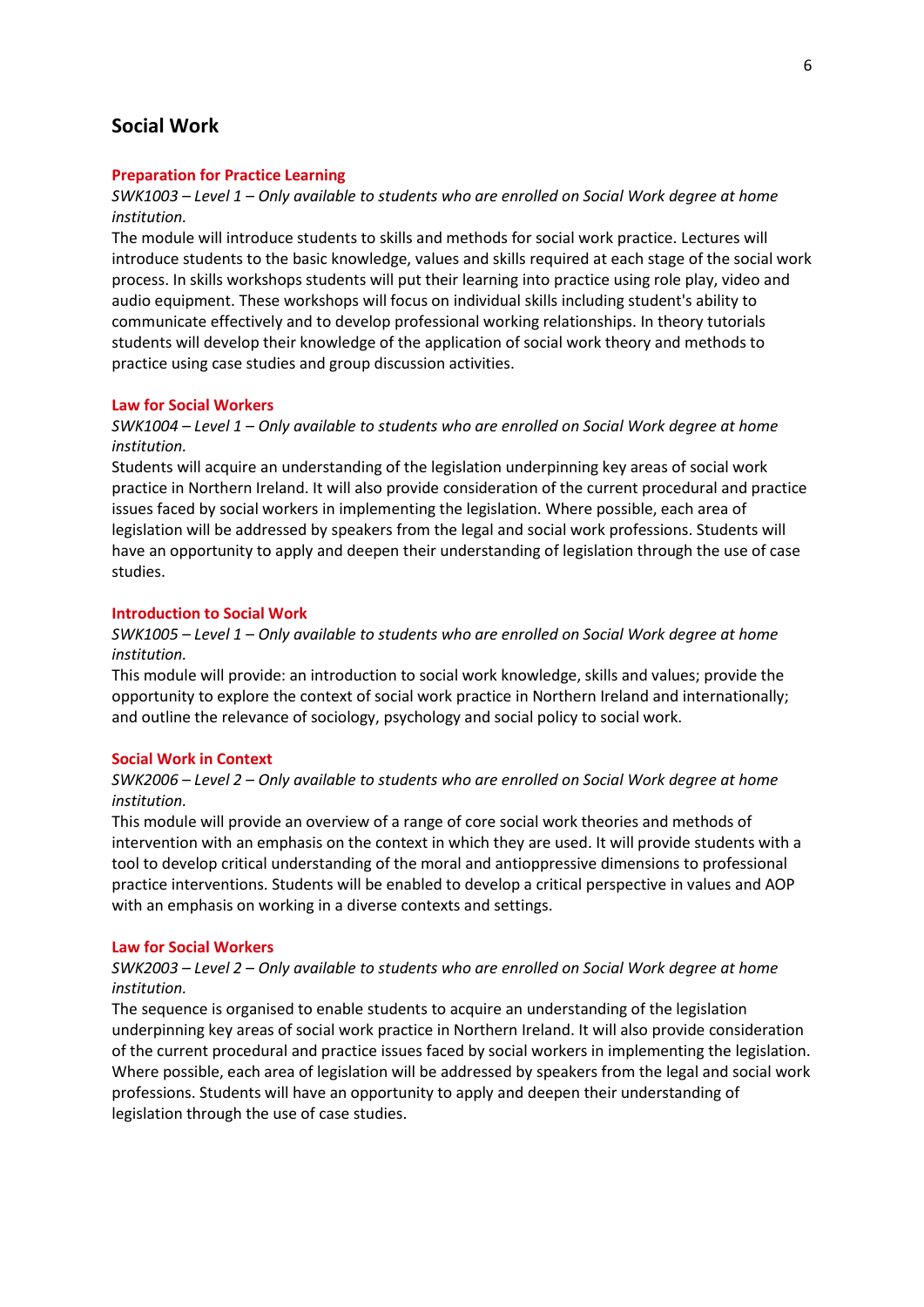# **Social Work**

### **Preparation for Practice Learning**

# *SWK1003 – Level 1 – Only available to students who are enrolled on Social Work degree at home institution.*

The module will introduce students to skills and methods for social work practice. Lectures will introduce students to the basic knowledge, values and skills required at each stage of the social work process. In skills workshops students will put their learning into practice using role play, video and audio equipment. These workshops will focus on individual skills including student's ability to communicate effectively and to develop professional working relationships. In theory tutorials students will develop their knowledge of the application of social work theory and methods to practice using case studies and group discussion activities.

### **Law for Social Workers**

### *SWK1004 – Level 1 – Only available to students who are enrolled on Social Work degree at home institution.*

Students will acquire an understanding of the legislation underpinning key areas of social work practice in Northern Ireland. It will also provide consideration of the current procedural and practice issues faced by social workers in implementing the legislation. Where possible, each area of legislation will be addressed by speakers from the legal and social work professions. Students will have an opportunity to apply and deepen their understanding of legislation through the use of case studies.

#### **Introduction to Social Work**

### *SWK1005 – Level 1 – Only available to students who are enrolled on Social Work degree at home institution.*

This module will provide: an introduction to social work knowledge, skills and values; provide the opportunity to explore the context of social work practice in Northern Ireland and internationally; and outline the relevance of sociology, psychology and social policy to social work.

#### **Social Work in Context**

### *SWK2006 – Level 2 – Only available to students who are enrolled on Social Work degree at home institution.*

This module will provide an overview of a range of core social work theories and methods of intervention with an emphasis on the context in which they are used. It will provide students with a tool to develop critical understanding of the moral and antioppressive dimensions to professional practice interventions. Students will be enabled to develop a critical perspective in values and AOP with an emphasis on working in a diverse contexts and settings.

#### **Law for Social Workers**

# *SWK2003 – Level 2 – Only available to students who are enrolled on Social Work degree at home institution.*

The sequence is organised to enable students to acquire an understanding of the legislation underpinning key areas of social work practice in Northern Ireland. It will also provide consideration of the current procedural and practice issues faced by social workers in implementing the legislation. Where possible, each area of legislation will be addressed by speakers from the legal and social work professions. Students will have an opportunity to apply and deepen their understanding of legislation through the use of case studies.